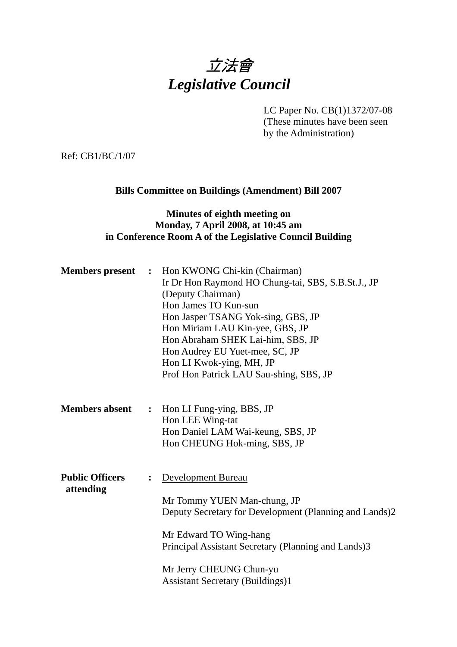# 立法會 *Legislative Council*

LC Paper No. CB(1)1372/07-08

(These minutes have been seen by the Administration)

Ref: CB1/BC/1/07

## **Bills Committee on Buildings (Amendment) Bill 2007**

### **Minutes of eighth meeting on Monday, 7 April 2008, at 10:45 am in Conference Room A of the Legislative Council Building**

| <b>Members</b> present              | $\ddot{\cdot}$ | Hon KWONG Chi-kin (Chairman)<br>Ir Dr Hon Raymond HO Chung-tai, SBS, S.B.St.J., JP<br>(Deputy Chairman)<br>Hon James TO Kun-sun<br>Hon Jasper TSANG Yok-sing, GBS, JP<br>Hon Miriam LAU Kin-yee, GBS, JP<br>Hon Abraham SHEK Lai-him, SBS, JP<br>Hon Audrey EU Yuet-mee, SC, JP<br>Hon LI Kwok-ying, MH, JP<br>Prof Hon Patrick LAU Sau-shing, SBS, JP |
|-------------------------------------|----------------|--------------------------------------------------------------------------------------------------------------------------------------------------------------------------------------------------------------------------------------------------------------------------------------------------------------------------------------------------------|
| <b>Members absent</b>               | $\ddot{\cdot}$ | Hon LI Fung-ying, BBS, JP<br>Hon LEE Wing-tat<br>Hon Daniel LAM Wai-keung, SBS, JP<br>Hon CHEUNG Hok-ming, SBS, JP                                                                                                                                                                                                                                     |
| <b>Public Officers</b><br>attending |                | Development Bureau<br>Mr Tommy YUEN Man-chung, JP<br>Deputy Secretary for Development (Planning and Lands)2<br>Mr Edward TO Wing-hang<br>Principal Assistant Secretary (Planning and Lands)3<br>Mr Jerry CHEUNG Chun-yu<br><b>Assistant Secretary (Buildings)1</b>                                                                                     |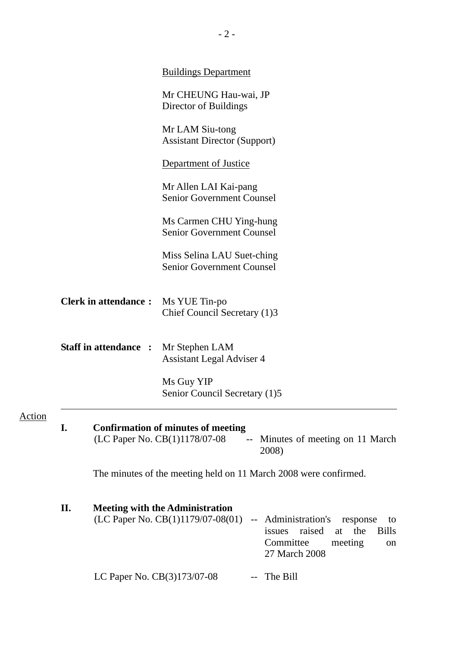|        |                             |                              | <b>Buildings Department</b>                                                                                                                                                                                          |
|--------|-----------------------------|------------------------------|----------------------------------------------------------------------------------------------------------------------------------------------------------------------------------------------------------------------|
|        |                             |                              | Mr CHEUNG Hau-wai, JP<br>Director of Buildings                                                                                                                                                                       |
|        |                             |                              | Mr LAM Siu-tong<br><b>Assistant Director (Support)</b>                                                                                                                                                               |
|        |                             |                              | Department of Justice                                                                                                                                                                                                |
|        |                             |                              | Mr Allen LAI Kai-pang<br><b>Senior Government Counsel</b>                                                                                                                                                            |
|        |                             |                              | Ms Carmen CHU Ying-hung<br><b>Senior Government Counsel</b>                                                                                                                                                          |
|        |                             |                              | Miss Selina LAU Suet-ching<br><b>Senior Government Counsel</b>                                                                                                                                                       |
|        | <b>Clerk in attendance:</b> |                              | Ms YUE Tin-po<br>Chief Council Secretary (1)3                                                                                                                                                                        |
|        |                             | <b>Staff in attendance :</b> | Mr Stephen LAM<br><b>Assistant Legal Adviser 4</b>                                                                                                                                                                   |
|        |                             |                              | Ms Guy YIP<br>Senior Council Secretary (1)5                                                                                                                                                                          |
| Action | I.                          |                              | <b>Confirmation of minutes of meeting</b><br>(LC Paper No. CB(1)1178/07-08<br>Minutes of meeting on 11 March<br>$\overline{\phantom{a}}$<br>2008)                                                                    |
|        |                             |                              | The minutes of the meeting held on 11 March 2008 were confirmed.                                                                                                                                                     |
|        | П.                          |                              | <b>Meeting with the Administration</b><br>(LC Paper No. CB(1)1179/07-08(01)<br>-- Administration's<br>response<br>to<br>raised<br>the<br>issues<br><b>Bills</b><br>at<br>Committee<br>meeting<br>on<br>27 March 2008 |
|        |                             | LC Paper No. CB(3)173/07-08  | The Bill                                                                                                                                                                                                             |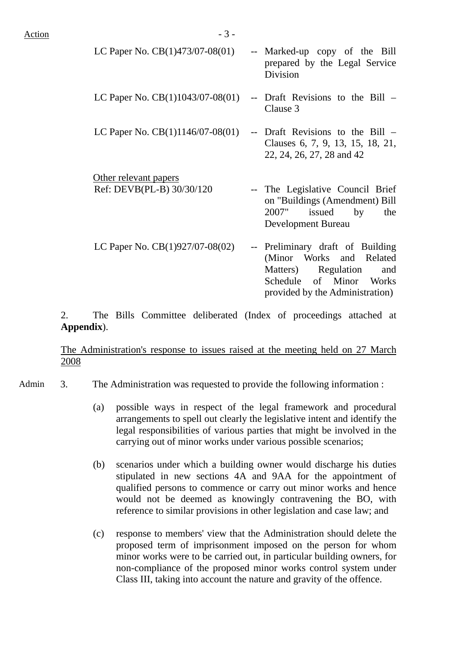| LC Paper No. $CB(1)473/07-08(01)$                  | -- Marked-up copy of the Bill<br>prepared by the Legal Service<br>Division                                                                               |
|----------------------------------------------------|----------------------------------------------------------------------------------------------------------------------------------------------------------|
| LC Paper No. $CB(1)1043/07-08(01)$                 | -- Draft Revisions to the Bill –<br>Clause 3                                                                                                             |
| LC Paper No. $CB(1)1146/07-08(01)$                 | -- Draft Revisions to the Bill –<br>Clauses 6, 7, 9, 13, 15, 18, 21,<br>22, 24, 26, 27, 28 and 42                                                        |
| Other relevant papers<br>Ref: DEVB(PL-B) 30/30/120 | -- The Legislative Council Brief<br>on "Buildings (Amendment) Bill<br>2007"<br>issued<br>by<br>the<br>Development Bureau                                 |
| LC Paper No. $CB(1)927/07-08(02)$                  | -- Preliminary draft of Building<br>(Minor Works and Related<br>Matters) Regulation<br>and<br>Schedule of Minor Works<br>provided by the Administration) |

2. The Bills Committee deliberated (Index of proceedings attached at **Appendix**).

The Administration's response to issues raised at the meeting held on 27 March 2008

Admin 3. The Administration was requested to provide the following information :

- (a) possible ways in respect of the legal framework and procedural arrangements to spell out clearly the legislative intent and identify the legal responsibilities of various parties that might be involved in the carrying out of minor works under various possible scenarios;
- (b) scenarios under which a building owner would discharge his duties stipulated in new sections 4A and 9AA for the appointment of qualified persons to commence or carry out minor works and hence would not be deemed as knowingly contravening the BO, with reference to similar provisions in other legislation and case law; and
- (c) response to members' view that the Administration should delete the proposed term of imprisonment imposed on the person for whom minor works were to be carried out, in particular building owners, for non-compliance of the proposed minor works control system under Class III, taking into account the nature and gravity of the offence.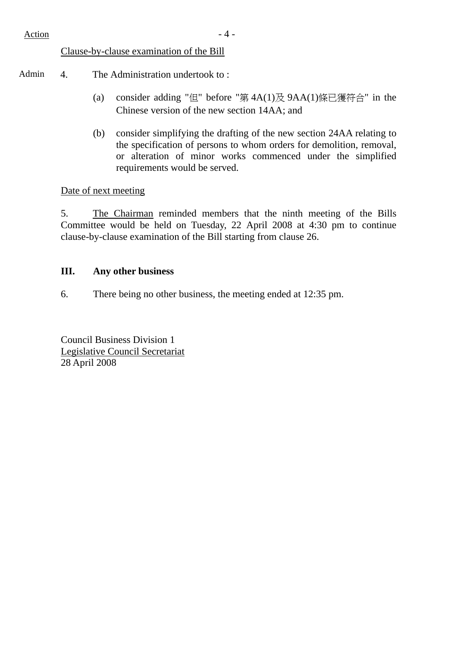## Clause-by-clause examination of the Bill

- Admin 4. The Administration undertook to:
	- (a) consider adding "但" before "第  $4A(1)$ 及  $9AA(1)$ 條已獲符合" in the Chinese version of the new section 14AA; and
	- (b) consider simplifying the drafting of the new section 24AA relating to the specification of persons to whom orders for demolition, removal, or alteration of minor works commenced under the simplified requirements would be served.

#### Date of next meeting

5. The Chairman reminded members that the ninth meeting of the Bills Committee would be held on Tuesday, 22 April 2008 at 4:30 pm to continue clause-by-clause examination of the Bill starting from clause 26.

#### **III. Any other business**

6. There being no other business, the meeting ended at 12:35 pm.

Council Business Division 1 Legislative Council Secretariat 28 April 2008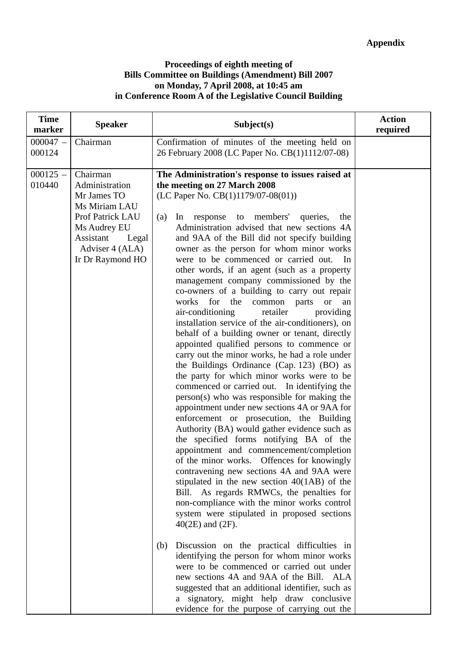#### **Proceedings of eighth meeting of Bills Committee on Buildings (Amendment) Bill 2007 on Monday, 7 April 2008, at 10:45 am in Conference Room A of the Legislative Council Building**

| <b>Time</b><br>marker | <b>Speaker</b>                                                                                                                                              | Subject(s)                                                                                                                                                                                                                                                                                                                                                                                                                                                                                                                                                                                                                                                                                                                                                                                                                                                                                                                                                                                                                                                                                                                                                                                                                                                                                                                                                                                                                                                                                                                                                                                                                                                                                                                                                                                                                                                                                                                        | <b>Action</b><br>required |
|-----------------------|-------------------------------------------------------------------------------------------------------------------------------------------------------------|-----------------------------------------------------------------------------------------------------------------------------------------------------------------------------------------------------------------------------------------------------------------------------------------------------------------------------------------------------------------------------------------------------------------------------------------------------------------------------------------------------------------------------------------------------------------------------------------------------------------------------------------------------------------------------------------------------------------------------------------------------------------------------------------------------------------------------------------------------------------------------------------------------------------------------------------------------------------------------------------------------------------------------------------------------------------------------------------------------------------------------------------------------------------------------------------------------------------------------------------------------------------------------------------------------------------------------------------------------------------------------------------------------------------------------------------------------------------------------------------------------------------------------------------------------------------------------------------------------------------------------------------------------------------------------------------------------------------------------------------------------------------------------------------------------------------------------------------------------------------------------------------------------------------------------------|---------------------------|
| $000047 -$<br>000124  | Chairman                                                                                                                                                    | Confirmation of minutes of the meeting held on<br>26 February 2008 (LC Paper No. CB(1)1112/07-08)                                                                                                                                                                                                                                                                                                                                                                                                                                                                                                                                                                                                                                                                                                                                                                                                                                                                                                                                                                                                                                                                                                                                                                                                                                                                                                                                                                                                                                                                                                                                                                                                                                                                                                                                                                                                                                 |                           |
| $000125 -$<br>010440  | Chairman<br>Administration<br>Mr James TO<br>Ms Miriam LAU<br>Prof Patrick LAU<br>Ms Audrey EU<br>Assistant<br>Legal<br>Adviser 4 (ALA)<br>Ir Dr Raymond HO | The Administration's response to issues raised at<br>the meeting on 27 March 2008<br>(LC Paper No. CB(1)1179/07-08(01))<br>members'<br>queries,<br>(a)<br>In<br>response<br>to<br>the<br>Administration advised that new sections 4A<br>and 9AA of the Bill did not specify building<br>owner as the person for whom minor works<br>were to be commenced or carried out.<br>In<br>other words, if an agent (such as a property<br>management company commissioned by the<br>co-owners of a building to carry out repair<br>for the<br>common<br>works<br>parts<br><b>or</b><br>an<br>air-conditioning<br>retailer<br>providing<br>installation service of the air-conditioners), on<br>behalf of a building owner or tenant, directly<br>appointed qualified persons to commence or<br>carry out the minor works, he had a role under<br>the Buildings Ordinance (Cap. 123) (BO) as<br>the party for which minor works were to be<br>commenced or carried out. In identifying the<br>person(s) who was responsible for making the<br>appointment under new sections 4A or 9AA for<br>enforcement or prosecution, the Building<br>Authority (BA) would gather evidence such as<br>the specified forms notifying BA of the<br>appointment and commencement/completion<br>of the minor works. Offences for knowingly<br>contravening new sections 4A and 9AA were<br>stipulated in the new section $40(1AB)$ of the<br>Bill. As regards RMWCs, the penalties for<br>non-compliance with the minor works control<br>system were stipulated in proposed sections<br>$40(2E)$ and $(2F)$ .<br>Discussion on the practical difficulties in<br>(b)<br>identifying the person for whom minor works<br>were to be commenced or carried out under<br>new sections 4A and 9AA of the Bill. ALA<br>suggested that an additional identifier, such as<br>a signatory, might help draw conclusive<br>evidence for the purpose of carrying out the |                           |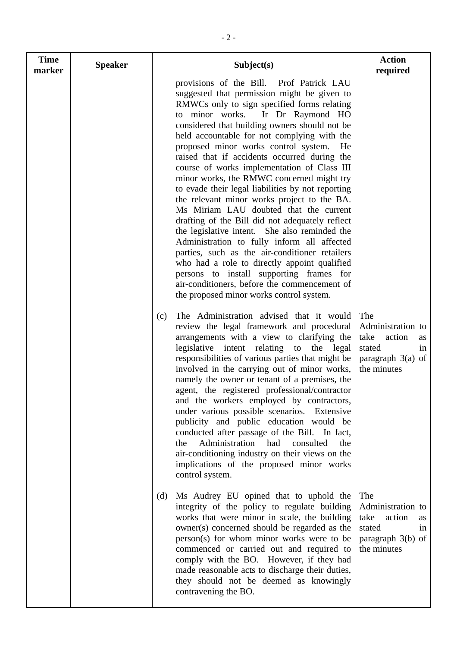| <b>Time</b><br>marker | <b>Speaker</b> | Subject(s)                                                                                                                                                                                                                                                                                                                                                                                                                                                                                                                                                                                                                                                                                                                                                                                                                                                                                                                                                                                                      | <b>Action</b><br>required                                                                              |
|-----------------------|----------------|-----------------------------------------------------------------------------------------------------------------------------------------------------------------------------------------------------------------------------------------------------------------------------------------------------------------------------------------------------------------------------------------------------------------------------------------------------------------------------------------------------------------------------------------------------------------------------------------------------------------------------------------------------------------------------------------------------------------------------------------------------------------------------------------------------------------------------------------------------------------------------------------------------------------------------------------------------------------------------------------------------------------|--------------------------------------------------------------------------------------------------------|
|                       |                | provisions of the Bill. Prof Patrick LAU<br>suggested that permission might be given to<br>RMWCs only to sign specified forms relating<br>to minor works. Ir Dr Raymond HO<br>considered that building owners should not be<br>held accountable for not complying with the<br>proposed minor works control system.<br>He<br>raised that if accidents occurred during the<br>course of works implementation of Class III<br>minor works, the RMWC concerned might try<br>to evade their legal liabilities by not reporting<br>the relevant minor works project to the BA.<br>Ms Miriam LAU doubted that the current<br>drafting of the Bill did not adequately reflect<br>the legislative intent. She also reminded the<br>Administration to fully inform all affected<br>parties, such as the air-conditioner retailers<br>who had a role to directly appoint qualified<br>persons to install supporting frames for<br>air-conditioners, before the commencement of<br>the proposed minor works control system. |                                                                                                        |
|                       |                | The Administration advised that it would<br>(c)<br>review the legal framework and procedural<br>arrangements with a view to clarifying the<br>legislative intent relating to the legal<br>responsibilities of various parties that might be<br>involved in the carrying out of minor works,<br>namely the owner or tenant of a premises, the<br>agent, the registered professional/contractor<br>and the workers employed by contractors,<br>under various possible scenarios. Extensive<br>publicity and public education would be<br>conducted after passage of the Bill. In fact,<br>Administration had<br>consulted<br>the<br>the<br>air-conditioning industry on their views on the<br>implications of the proposed minor works<br>control system.                                                                                                                                                                                                                                                         | The<br>Administration to<br>take<br>action<br>as<br>stated<br>in<br>paragraph $3(a)$ of<br>the minutes |
|                       |                | Ms Audrey EU opined that to uphold the<br>(d)<br>integrity of the policy to regulate building<br>works that were minor in scale, the building<br>owner(s) concerned should be regarded as the<br>person(s) for whom minor works were to be<br>commenced or carried out and required to<br>comply with the BO. However, if they had<br>made reasonable acts to discharge their duties,<br>they should not be deemed as knowingly<br>contravening the BO.                                                                                                                                                                                                                                                                                                                                                                                                                                                                                                                                                         | The<br>Administration to<br>take<br>action<br>as<br>stated<br>in<br>paragraph $3(b)$ of<br>the minutes |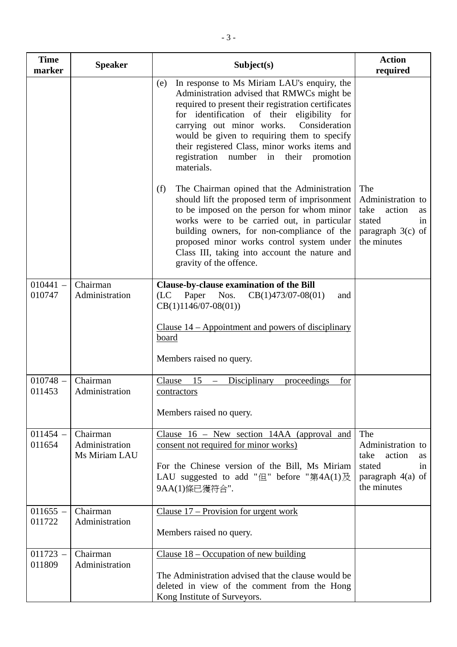| <b>Time</b><br>marker | <b>Speaker</b>                              | Subject(s)                                                                                                                                                                                                                                                                                                                                                                                                      | <b>Action</b><br>required                                                                              |
|-----------------------|---------------------------------------------|-----------------------------------------------------------------------------------------------------------------------------------------------------------------------------------------------------------------------------------------------------------------------------------------------------------------------------------------------------------------------------------------------------------------|--------------------------------------------------------------------------------------------------------|
|                       |                                             | In response to Ms Miriam LAU's enquiry, the<br>(e)<br>Administration advised that RMWCs might be<br>required to present their registration certificates<br>for identification of their eligibility for<br>carrying out minor works.<br>Consideration<br>would be given to requiring them to specify<br>their registered Class, minor works items and<br>registration number in<br>their promotion<br>materials. |                                                                                                        |
|                       |                                             | The Chairman opined that the Administration<br>(f)<br>should lift the proposed term of imprisonment<br>to be imposed on the person for whom minor<br>works were to be carried out, in particular<br>building owners, for non-compliance of the<br>proposed minor works control system under<br>Class III, taking into account the nature and<br>gravity of the offence.                                         | The<br>Administration to<br>take<br>action<br>as<br>stated<br>in<br>paragraph $3(c)$ of<br>the minutes |
| $010441 -$<br>010747  | Chairman<br>Administration                  | Clause-by-clause examination of the Bill<br>(LC)<br>Paper Nos.<br>$CB(1)473/07-08(01)$<br>and<br>$CB(1)1146/07-08(01))$                                                                                                                                                                                                                                                                                         |                                                                                                        |
|                       |                                             | Clause $14$ – Appointment and powers of disciplinary<br><u>board</u>                                                                                                                                                                                                                                                                                                                                            |                                                                                                        |
|                       |                                             | Members raised no query.                                                                                                                                                                                                                                                                                                                                                                                        |                                                                                                        |
| $010748 -$<br>011453  | Chairman<br>Administration                  | <b>Disciplinary</b><br>Clause<br>15<br>proceedings<br>for<br>$\overline{\phantom{m}}$<br>contractors                                                                                                                                                                                                                                                                                                            |                                                                                                        |
|                       |                                             | Members raised no query.                                                                                                                                                                                                                                                                                                                                                                                        |                                                                                                        |
| $011454 -$<br>011654  | Chairman<br>Administration<br>Ms Miriam LAU | Clause $16$ – New section 14AA (approval and<br>consent not required for minor works)<br>For the Chinese version of the Bill, Ms Miriam<br>LAU suggested to add "但" before "第4A(1)及<br>9AA(1)條已獲符合".                                                                                                                                                                                                            | The<br>Administration to<br>take<br>action<br>as<br>stated<br>in<br>paragraph 4(a) of<br>the minutes   |
| $011655 -$<br>011722  | Chairman<br>Administration                  | Clause $17$ – Provision for urgent work                                                                                                                                                                                                                                                                                                                                                                         |                                                                                                        |
|                       |                                             | Members raised no query.                                                                                                                                                                                                                                                                                                                                                                                        |                                                                                                        |
| $011723 -$<br>011809  | Chairman<br>Administration                  | Clause $18$ – Occupation of new building<br>The Administration advised that the clause would be<br>deleted in view of the comment from the Hong                                                                                                                                                                                                                                                                 |                                                                                                        |
|                       |                                             | Kong Institute of Surveyors.                                                                                                                                                                                                                                                                                                                                                                                    |                                                                                                        |